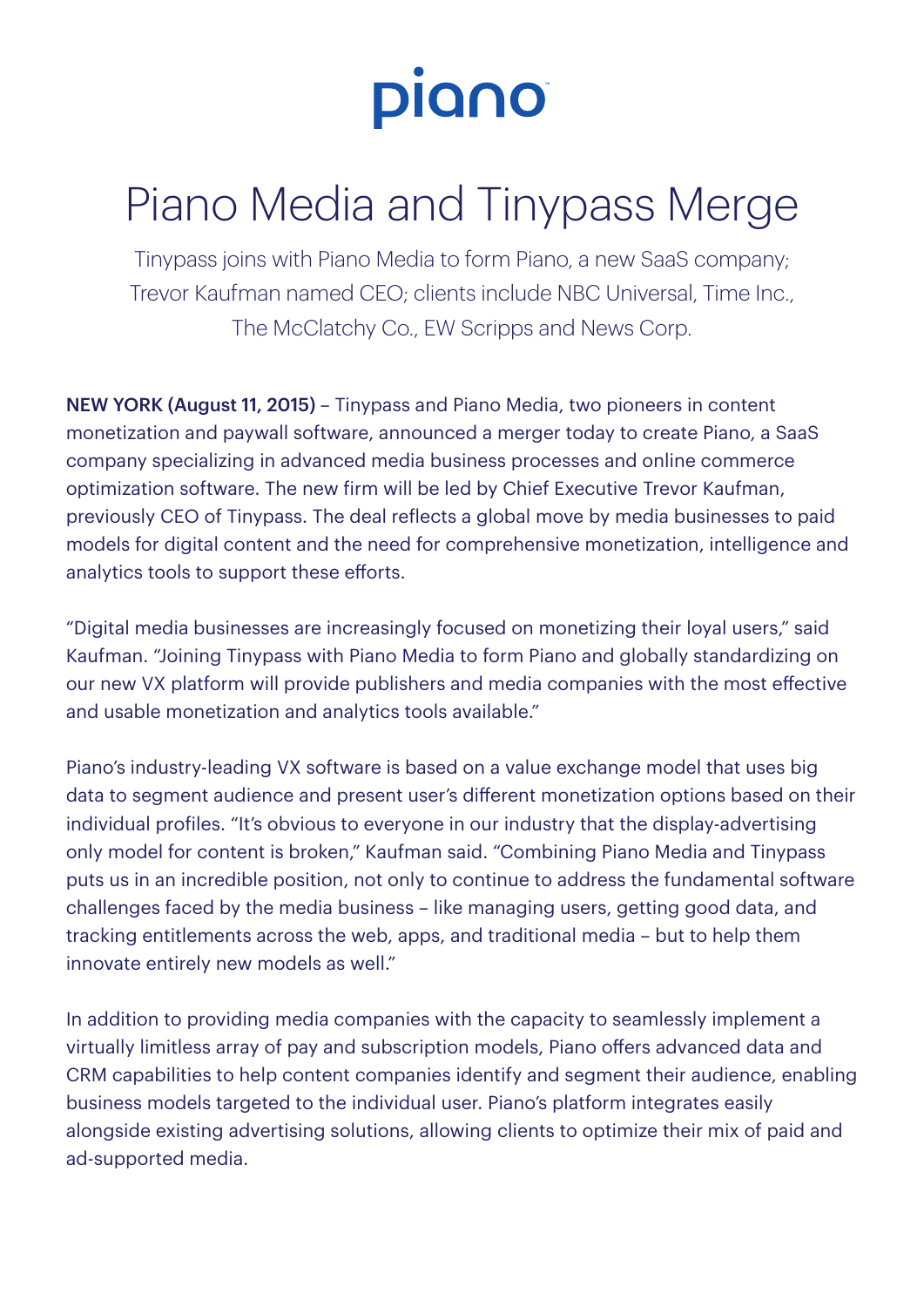

## Piano Media and Tinypass Merge

Tinypass joins with Piano Media to form Piano, a new SaaS company; Trevor Kaufman named CEO; clients include NBC Universal, Time Inc., The McClatchy Co., EW Scripps and News Corp.

NEW YORK (August 11, 2015) – Tinypass and Piano Media, two pioneers in content monetization and paywall software, announced a merger today to create Piano, a SaaS company specializing in advanced media business processes and online commerce optimization software. The new firm will be led by Chief Executive Trevor Kaufman, previously CEO of Tinypass. The deal reflects a global move by media businesses to paid models for digital content and the need for comprehensive monetization, intelligence and analytics tools to support these efforts.

"Digital media businesses are increasingly focused on monetizing their loyal users," said Kaufman. "Joining Tinypass with Piano Media to form Piano and globally standardizing on our new VX platform will provide publishers and media companies with the most effective and usable monetization and analytics tools available."

Piano's industry-leading VX software is based on a value exchange model that uses big data to segment audience and present user's different monetization options based on their individual profiles. "It's obvious to everyone in our industry that the display-advertising only model for content is broken," Kaufman said. "Combining Piano Media and Tinypass puts us in an incredible position, not only to continue to address the fundamental software challenges faced by the media business – like managing users, getting good data, and tracking entitlements across the web, apps, and traditional media – but to help them innovate entirely new models as well."

In addition to providing media companies with the capacity to seamlessly implement a virtually limitless array of pay and subscription models, Piano offers advanced data and CRM capabilities to help content companies identify and segment their audience, enabling business models targeted to the individual user. Piano's platform integrates easily alongside existing advertising solutions, allowing clients to optimize their mix of paid and ad-supported media.